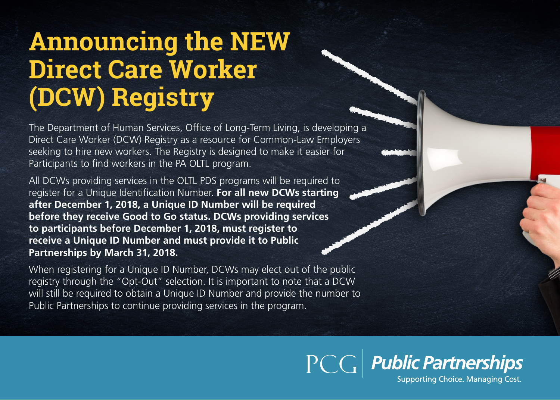## **Announcing the NEW Direct Care Worker (DCW) Registry**

The Department of Human Services, Office of Long-Term Living, is developing a Direct Care Worker (DCW) Registry as a resource for Common-Law Employers seeking to hire new workers. The Registry is designed to make it easier for Participants to find workers in the PA OLTL program.

All DCWs providing services in the OLTL PDS programs will be required to register for a Unique Identification Number. **For all new DCWs starting after December 1, 2018, a Unique ID Number will be required before they receive Good to Go status. DCWs providing services to participants before December 1, 2018, must register to receive a Unique ID Number and must provide it to Public Partnerships by March 31, 2018.** 

When registering for a Unique ID Number, DCWs may elect out of the public registry through the "Opt-Out" selection. It is important to note that a DCW will still be required to obtain a Unique ID Number and provide the number to Public Partnerships to continue providing services in the program.

> PCG Public Partnerships Supporting Choice. Managing Cost.